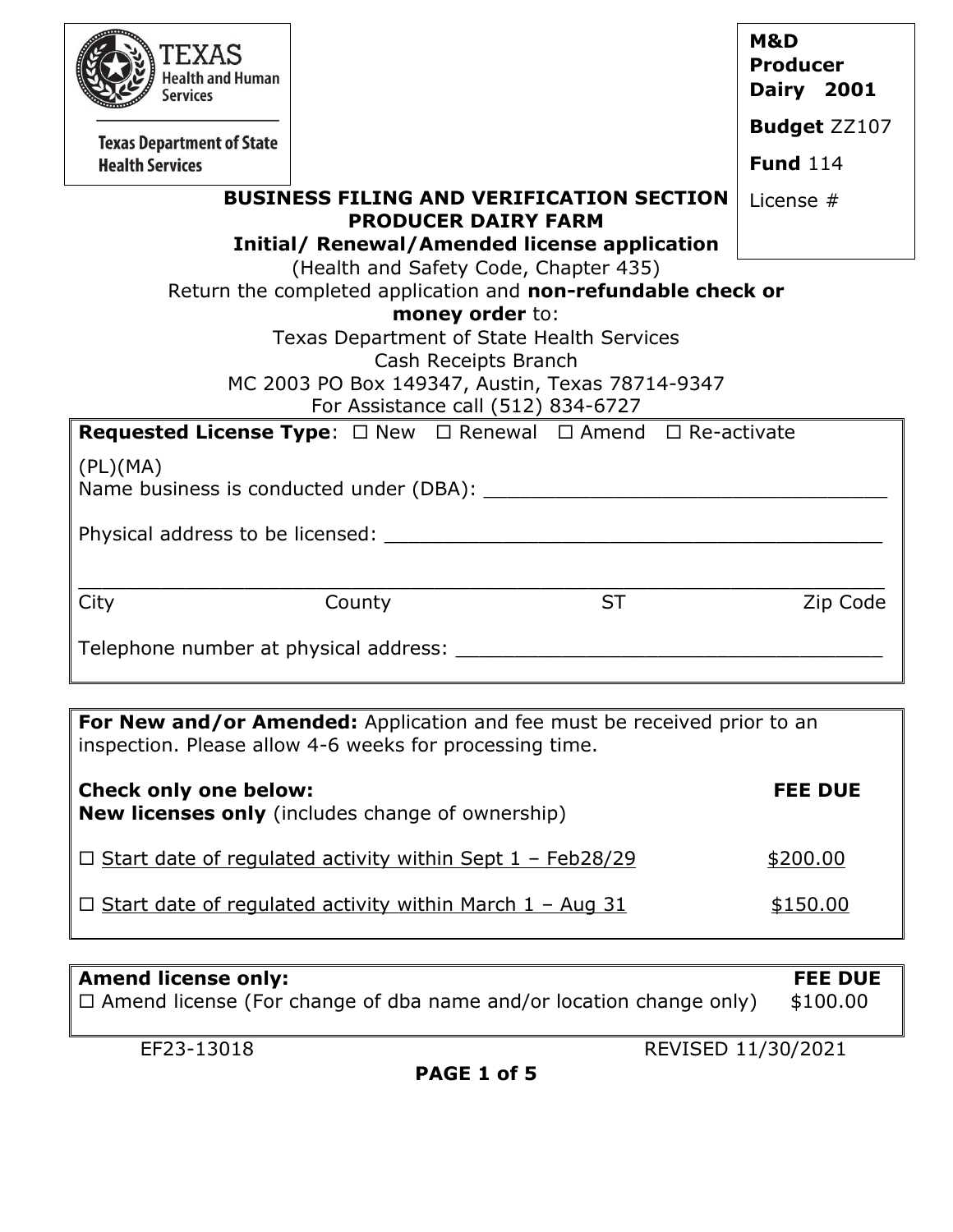| TEXAS<br><b>Health and Human</b><br>Services |                                                                                                                                      |           | M&D<br><b>Producer</b><br><b>Dairy 2001</b> |
|----------------------------------------------|--------------------------------------------------------------------------------------------------------------------------------------|-----------|---------------------------------------------|
| <b>Texas Department of State</b>             |                                                                                                                                      |           | <b>Budget ZZ107</b>                         |
| <b>Health Services</b>                       |                                                                                                                                      |           | <b>Fund</b> 114                             |
|                                              | <b>BUSINESS FILING AND VERIFICATION SECTION</b><br><b>PRODUCER DAIRY FARM</b><br><b>Initial/ Renewal/Amended license application</b> |           | License $#$                                 |
|                                              | (Health and Safety Code, Chapter 435)                                                                                                |           |                                             |
|                                              | Return the completed application and non-refundable check or<br>money order to:                                                      |           |                                             |
|                                              | Texas Department of State Health Services                                                                                            |           |                                             |
|                                              | Cash Receipts Branch                                                                                                                 |           |                                             |
|                                              | MC 2003 PO Box 149347, Austin, Texas 78714-9347                                                                                      |           |                                             |
|                                              | For Assistance call (512) 834-6727<br><b>Requested License Type:</b> $\Box$ New $\Box$ Renewal $\Box$ Amend $\Box$ Re-activate       |           |                                             |
|                                              |                                                                                                                                      |           |                                             |
| (PL)(MA)                                     |                                                                                                                                      |           |                                             |
|                                              |                                                                                                                                      |           |                                             |
|                                              |                                                                                                                                      |           |                                             |
|                                              |                                                                                                                                      |           |                                             |
| City                                         | County                                                                                                                               | <b>ST</b> | Zip Code                                    |
|                                              |                                                                                                                                      |           |                                             |
|                                              |                                                                                                                                      |           |                                             |
|                                              |                                                                                                                                      |           |                                             |
|                                              |                                                                                                                                      |           |                                             |
|                                              | For New and/or Amended: Application and fee must be received prior to an<br>inspection. Please allow 4-6 weeks for processing time.  |           |                                             |
| <b>Check only one below:</b>                 | <b>New licenses only</b> (includes change of ownership)                                                                              |           | <b>FEE DUE</b>                              |
|                                              | $\Box$ Start date of regulated activity within Sept 1 - Feb28/29                                                                     |           | \$200.00                                    |
|                                              | $\Box$ Start date of regulated activity within March 1 - Aug 31                                                                      |           | \$150.00                                    |

| <b>Amend license only:</b>                                                | <b>FEE DUE</b> |
|---------------------------------------------------------------------------|----------------|
| $\Box$ Amend license (For change of dba name and/or location change only) | \$100.00       |
|                                                                           |                |

**PAGE 1 of 5**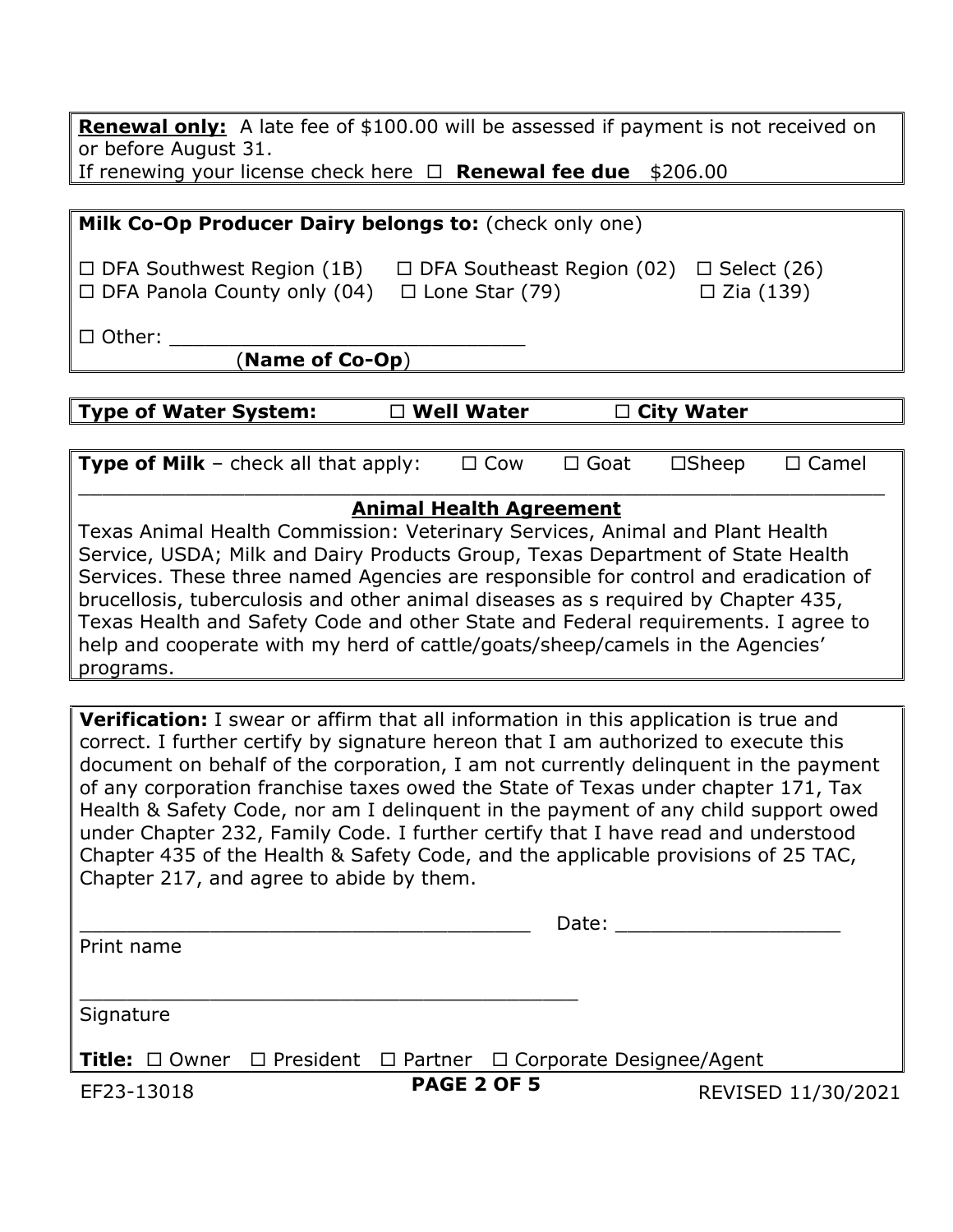**Renewal only:** A late fee of \$100.00 will be assessed if payment is not received on or before August 31. If renewing your license check here **Renewal fee due** \$206.00

| Milk Co-Op Producer Dairy belongs to: (check only one)                 |                                                           |                                        |
|------------------------------------------------------------------------|-----------------------------------------------------------|----------------------------------------|
| $\Box$ DFA Southwest Region (1B)<br>$\Box$ DFA Panola County only (04) | $\Box$ DFA Southeast Region (02)<br>$\Box$ Lone Star (79) | $\Box$ Select (26)<br>$\Box$ Zia (139) |
| $\Box$ Other:<br>(Name of Co-Op)                                       |                                                           |                                        |

**Type of Water System: Well Water City Water**

**Type of Milk** – check all that apply:  $\Box$  Cow  $\Box$  Goat  $\Box$  Sheep  $\Box$  Camel  $\_$  , and the set of the set of the set of the set of the set of the set of the set of the set of the set of the set of the set of the set of the set of the set of the set of the set of the set of the set of the set of th

#### **Animal Health Agreement**

Texas Animal Health Commission: Veterinary Services, Animal and Plant Health Service, USDA; Milk and Dairy Products Group, Texas Department of State Health Services. These three named Agencies are responsible for control and eradication of brucellosis, tuberculosis and other animal diseases as s required by Chapter 435, Texas Health and Safety Code and other State and Federal requirements. I agree to help and cooperate with my herd of cattle/goats/sheep/camels in the Agencies' programs.

**Verification:** I swear or affirm that all information in this application is true and correct. I further certify by signature hereon that I am authorized to execute this document on behalf of the corporation, I am not currently delinquent in the payment of any corporation franchise taxes owed the State of Texas under chapter 171, Tax Health & Safety Code, nor am I delinquent in the payment of any child support owed under Chapter 232, Family Code. I further certify that I have read and understood Chapter 435 of the Health & Safety Code, and the applicable provisions of 25 TAC, Chapter 217, and agree to abide by them.

|            |                    | Date:                                                                                      |                    |
|------------|--------------------|--------------------------------------------------------------------------------------------|--------------------|
| Print name |                    |                                                                                            |                    |
|            |                    |                                                                                            |                    |
| Signature  |                    |                                                                                            |                    |
|            |                    | <b>Title:</b> $\Box$ Owner $\Box$ President $\Box$ Partner $\Box$ Corporate Designee/Agent |                    |
| EF23-13018 | <b>PAGE 2 OF 5</b> |                                                                                            | REVISED 11/30/2021 |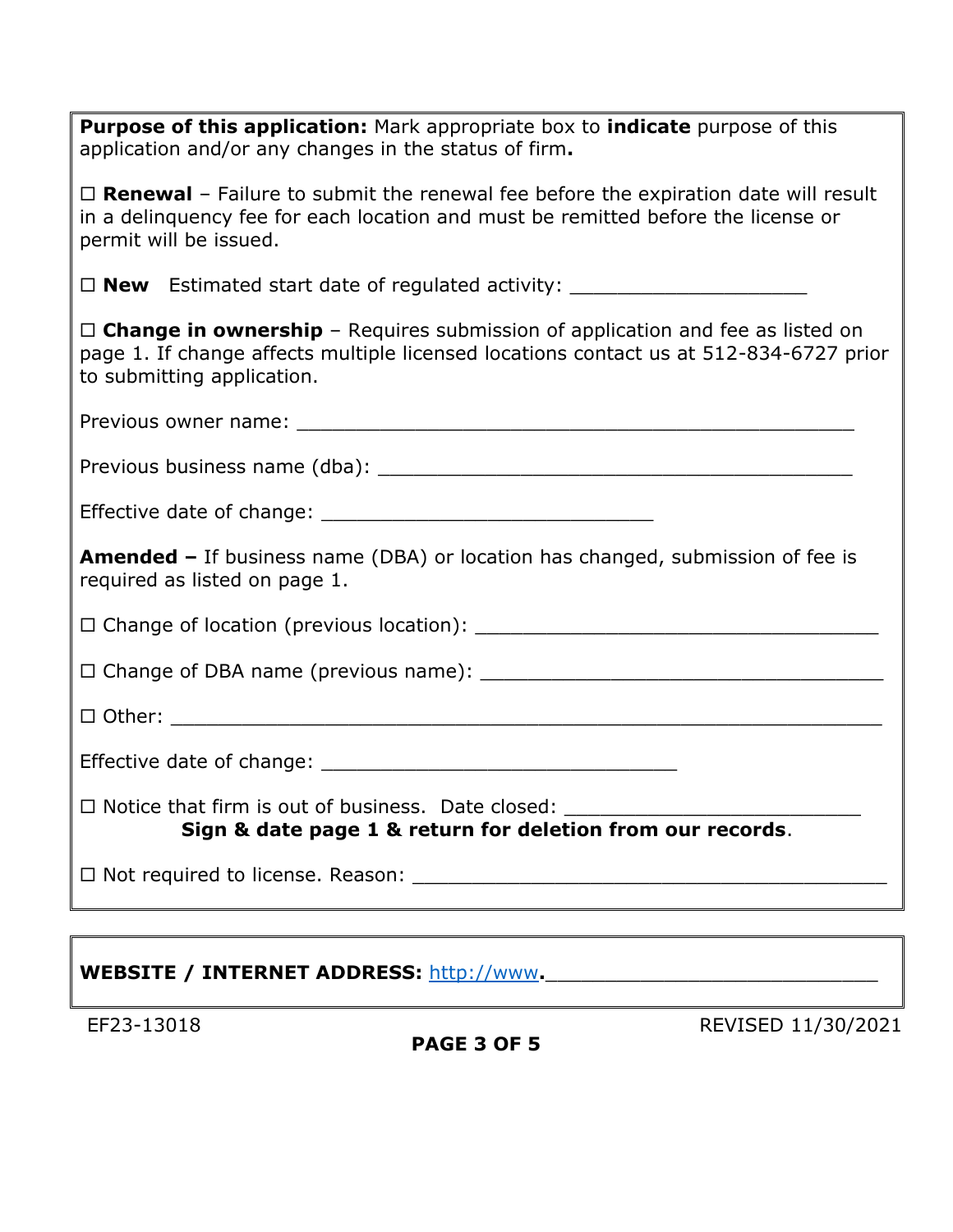| <b>Purpose of this application:</b> Mark appropriate box to <i>indicate</i> purpose of this<br>application and/or any changes in the status of firm.                                                            |
|-----------------------------------------------------------------------------------------------------------------------------------------------------------------------------------------------------------------|
| $\Box$ <b>Renewal</b> – Failure to submit the renewal fee before the expiration date will result<br>in a delinguency fee for each location and must be remitted before the license or<br>permit will be issued. |
| $\Box$ <b>New</b> Estimated start date of regulated activity: $\Box$                                                                                                                                            |
| $\Box$ Change in ownership - Requires submission of application and fee as listed on<br>page 1. If change affects multiple licensed locations contact us at 512-834-6727 prior<br>to submitting application.    |
|                                                                                                                                                                                                                 |
|                                                                                                                                                                                                                 |
|                                                                                                                                                                                                                 |
| <b>Amended -</b> If business name (DBA) or location has changed, submission of fee is<br>required as listed on page 1.                                                                                          |
|                                                                                                                                                                                                                 |
|                                                                                                                                                                                                                 |
|                                                                                                                                                                                                                 |
|                                                                                                                                                                                                                 |
| $\Box$ Notice that firm is out of business. Date closed:<br>Sign & date page 1 & return for deletion from our records.                                                                                          |
|                                                                                                                                                                                                                 |

# WEBSITE / INTERNET ADDRESS: [http://www](http://www/).

**PAGE 3 OF 5**

EF23-13018 REVISED 11/30/2021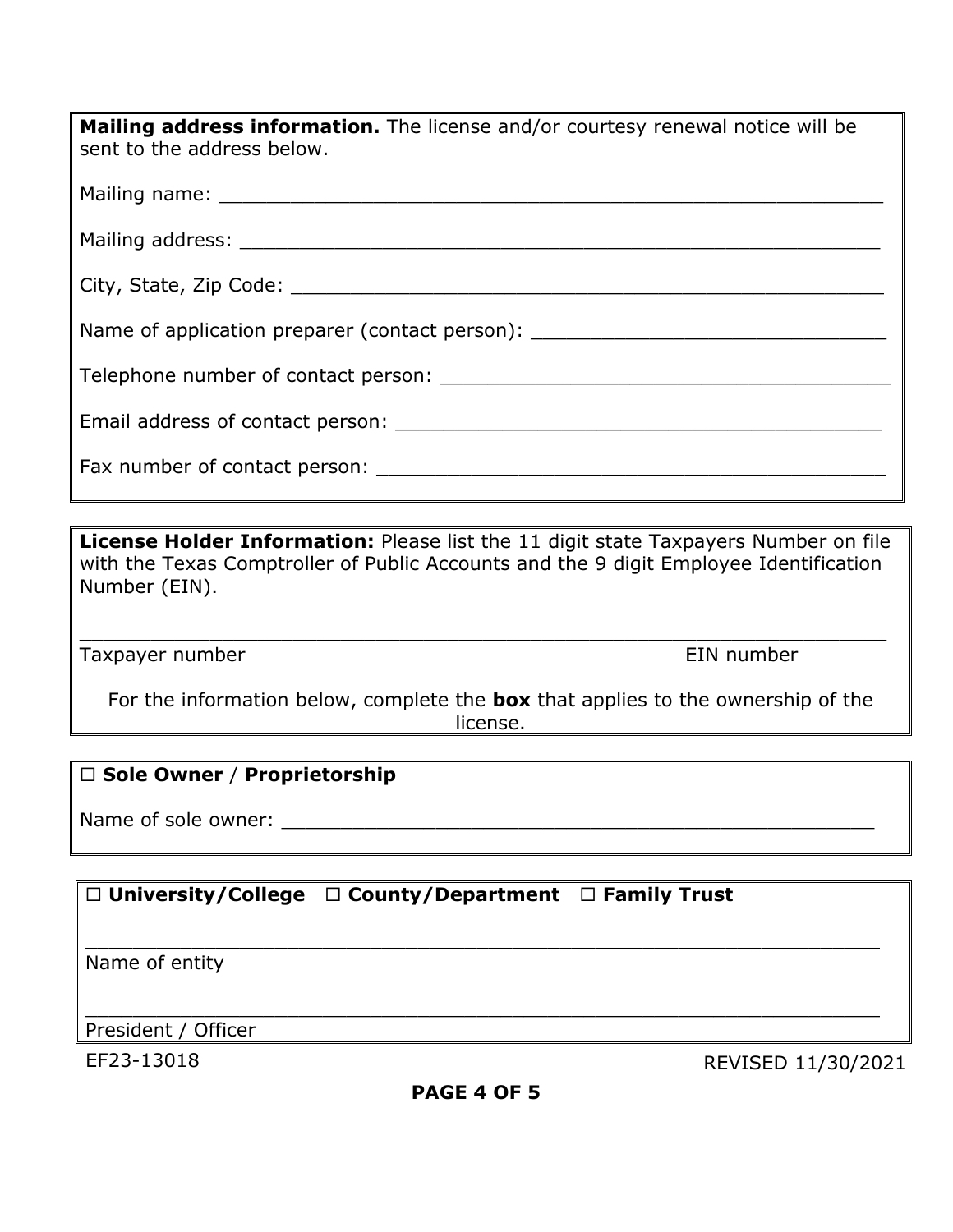| <b>Mailing address information.</b> The license and/or courtesy renewal notice will be<br>sent to the address below.                                                                                                          |
|-------------------------------------------------------------------------------------------------------------------------------------------------------------------------------------------------------------------------------|
|                                                                                                                                                                                                                               |
|                                                                                                                                                                                                                               |
|                                                                                                                                                                                                                               |
| Name of application preparer (contact person):                                                                                                                                                                                |
|                                                                                                                                                                                                                               |
|                                                                                                                                                                                                                               |
| Fax number of contact person: The same of the same of the same of the same of the same of the same of the same of the same of the same of the same of the same of the same of the same of the same of the same of the same of |

**License Holder Information:** Please list the 11 digit state Taxpayers Number on file with the Texas Comptroller of Public Accounts and the 9 digit Employee Identification Number (EIN).

\_\_\_\_\_\_\_\_\_\_\_\_\_\_\_\_\_\_\_\_\_\_\_\_\_\_\_\_\_\_\_\_\_\_\_\_\_\_\_\_\_\_\_\_\_\_\_\_\_\_\_\_\_\_\_\_\_\_\_\_\_\_\_\_\_\_\_\_

Taxpayer number **EIN** number

For the information below, complete the **box** that applies to the ownership of the license.

### **Sole Owner** / **Proprietorship**

Name of sole owner: \_\_\_\_\_\_\_\_\_\_\_\_\_\_\_\_\_\_\_\_\_\_\_\_\_\_\_\_\_\_\_\_\_\_\_\_\_\_\_\_\_\_\_\_\_\_\_\_\_\_

## **University/College County/Department Family Trust**

Name of entity

\_\_\_\_\_\_\_\_\_\_\_\_\_\_\_\_\_\_\_\_\_\_\_\_\_\_\_\_\_\_\_\_\_\_\_\_\_\_\_\_\_\_\_\_\_\_\_\_\_\_\_\_\_\_\_\_\_\_\_\_\_\_\_\_\_\_\_ President / Officer

EF23-13018 REVISED 11/30/2021

\_\_\_\_\_\_\_\_\_\_\_\_\_\_\_\_\_\_\_\_\_\_\_\_\_\_\_\_\_\_\_\_\_\_\_\_\_\_\_\_\_\_\_\_\_\_\_\_\_\_\_\_\_\_\_\_\_\_\_\_\_\_\_\_\_\_\_